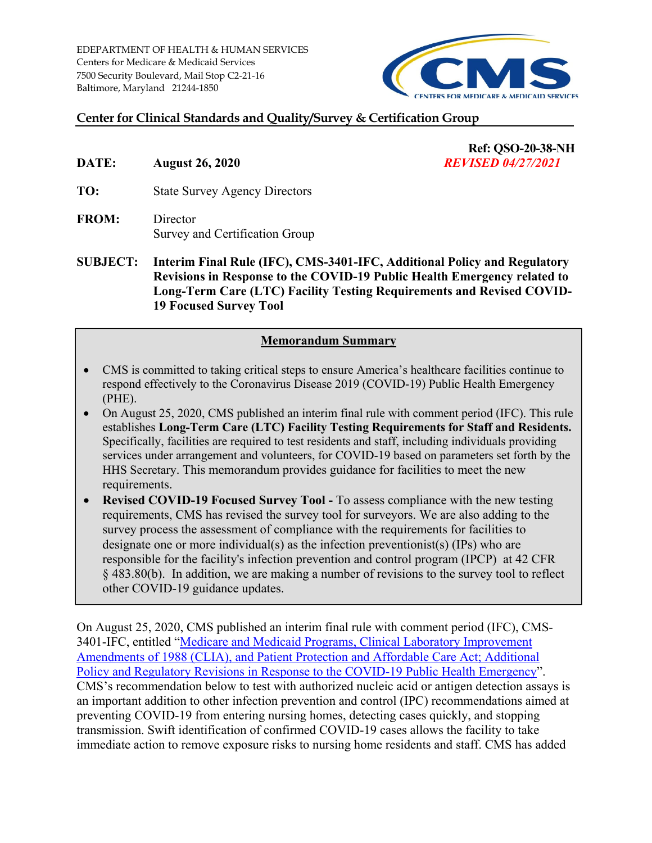EDEPARTMENT OF HEALTH & HUMAN SERVICES Centers for Medicare & Medicaid Services 7500 Security Boulevard, Mail Stop C2‐21‐16 Baltimore, Maryland 21244-1850

# **ENTERS FOR MEDICARE & MEDICAID SERVICES**

**Ref: QSO-20-38-NH** 

#### **Center for Clinical Standards and Quality/Survey & Certification Group**

**DATE: August 26, 2020** *REVISED 04/27/2021* 

**TO:** State Survey Agency Directors

- **FROM:** Director Survey and Certification Group
- **SUBJECT: Interim Final Rule (IFC), CMS-3401-IFC, Additional Policy and Regulatory Revisions in Response to the COVID-19 Public Health Emergency related to Long-Term Care (LTC) Facility Testing Requirements and Revised COVID-19 Focused Survey Tool**

#### **Memorandum Summary**

- CMS is committed to taking critical steps to ensure America's healthcare facilities continue to respond effectively to the Coronavirus Disease 2019 (COVID-19) Public Health Emergency (PHE).
- On August 25, 2020, CMS published an interim final rule with comment period (IFC). This rule establishes **Long-Term Care (LTC) Facility Testing Requirements for Staff and Residents.**  Specifically, facilities are required to test residents and staff, including individuals providing services under arrangement and volunteers, for COVID-19 based on parameters set forth by the HHS Secretary. This memorandum provides guidance for facilities to meet the new requirements.
- **Revised COVID-19 Focused Survey Tool** To assess compliance with the new testing requirements, CMS has revised the survey tool for surveyors. We are also adding to the survey process the assessment of compliance with the requirements for facilities to designate one or more individual(s) as the infection preventionist(s) (IPs) who are responsible for the facility's infection prevention and control program (IPCP) at 42 CFR § 483.80(b). In addition, we are making a number of revisions to the survey tool to reflect other COVID-19 guidance updates.

On August 25, 2020, CMS published an interim final rule with comment period (IFC), CMS-3401-IFC, entitled "Medicare and Medicaid Programs, Clinical Laboratory Improvement Amendments of 1988 (CLIA), and Patient Protection and Affordable Care Act; Additional Policy and Regulatory Revisions in Response to the COVID-19 Public Health Emergency". CMS's recommendation below to test with authorized nucleic acid or antigen detection assays is an important addition to other infection prevention and control (IPC) recommendations aimed at preventing COVID-19 from entering nursing homes, detecting cases quickly, and stopping transmission. Swift identification of confirmed COVID-19 cases allows the facility to take immediate action to remove exposure risks to nursing home residents and staff. CMS has added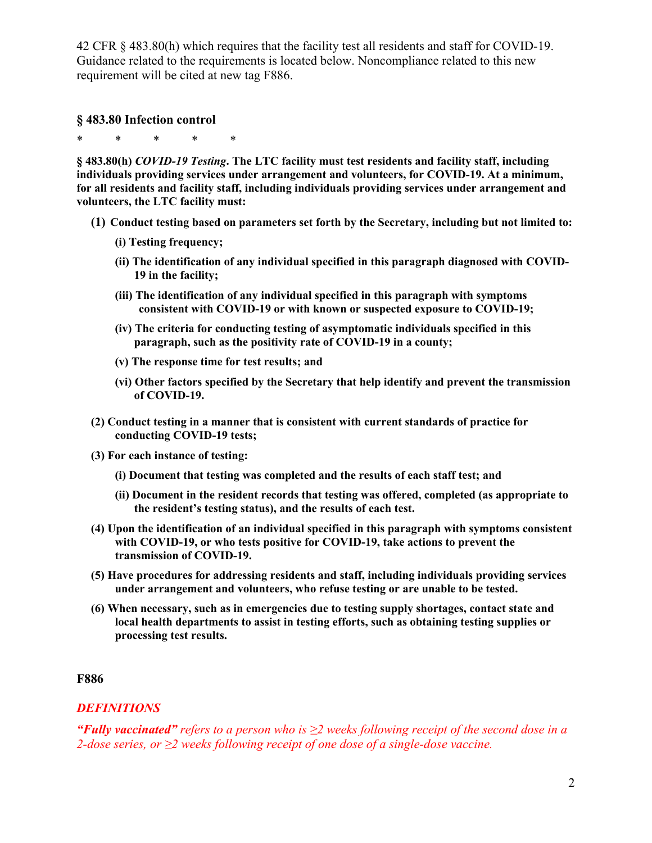42 CFR § 483.80(h) which requires that the facility test all residents and staff for COVID-19. Guidance related to the requirements is located below. Noncompliance related to this new requirement will be cited at new tag F886.

#### **§ 483.80 Infection control**

\* \* \* \* \*

**§ 483.80(h)** *COVID-19 Testing***. The LTC facility must test residents and facility staff, including individuals providing services under arrangement and volunteers, for COVID-19. At a minimum, for all residents and facility staff, including individuals providing services under arrangement and volunteers, the LTC facility must:** 

- **(1) Conduct testing based on parameters set forth by the Secretary, including but not limited to:** 
	- **(i) Testing frequency;**
	- **(ii) The identification of any individual specified in this paragraph diagnosed with COVID-19 in the facility;**
	- **(iii) The identification of any individual specified in this paragraph with symptoms consistent with COVID-19 or with known or suspected exposure to COVID-19;**
	- **(iv) The criteria for conducting testing of asymptomatic individuals specified in this paragraph, such as the positivity rate of COVID-19 in a county;**
	- **(v) The response time for test results; and**
	- **(vi) Other factors specified by the Secretary that help identify and prevent the transmission of COVID-19.**
- **(2) Conduct testing in a manner that is consistent with current standards of practice for conducting COVID-19 tests;**
- **(3) For each instance of testing:** 
	- **(i) Document that testing was completed and the results of each staff test; and**
	- **(ii) Document in the resident records that testing was offered, completed (as appropriate to the resident's testing status), and the results of each test.**
- **(4) Upon the identification of an individual specified in this paragraph with symptoms consistent with COVID-19, or who tests positive for COVID-19, take actions to prevent the transmission of COVID-19.**
- **(5) Have procedures for addressing residents and staff, including individuals providing services under arrangement and volunteers, who refuse testing or are unable to be tested.**
- **(6) When necessary, such as in emergencies due to testing supply shortages, contact state and local health departments to assist in testing efforts, such as obtaining testing supplies or processing test results.**

#### **F886**

#### *DEFINITIONS*

*"Fully vaccinated" refers to a person who is ≥2 weeks following receipt of the second dose in a 2-dose series, or ≥2 weeks following receipt of one dose of a single-dose vaccine.*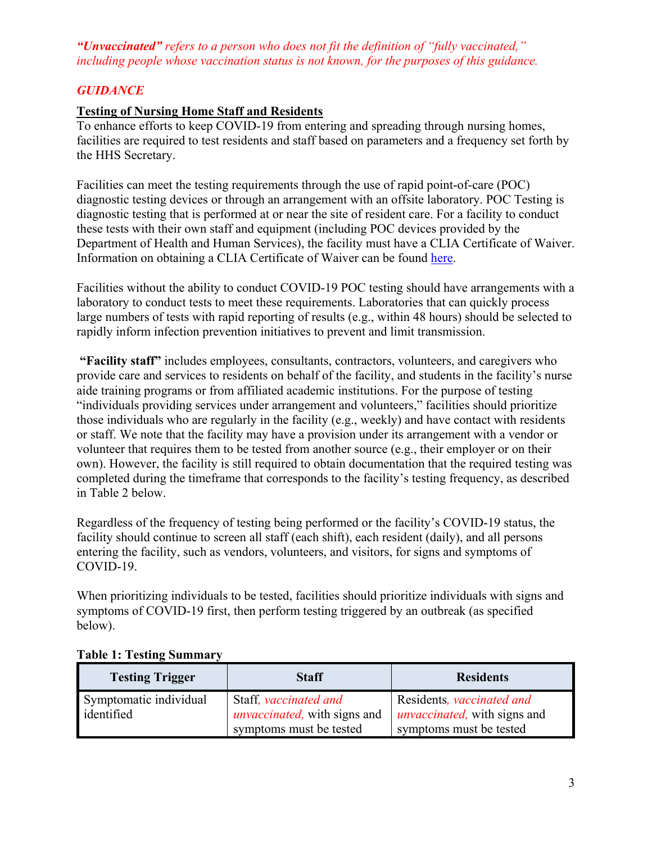#### *"Unvaccinated" refers to a person who does not fit the definition of "fully vaccinated," including people whose vaccination status is not known, for the purposes of this guidance.*

# *GUIDANCE*

#### **Testing of Nursing Home Staff and Residents**

To enhance efforts to keep COVID-19 from entering and spreading through nursing homes, facilities are required to test residents and staff based on parameters and a frequency set forth by the HHS Secretary.

Facilities can meet the testing requirements through the use of rapid point-of-care (POC) diagnostic testing devices or through an arrangement with an offsite laboratory. POC Testing is diagnostic testing that is performed at or near the site of resident care. For a facility to conduct these tests with their own staff and equipment (including POC devices provided by the Department of Health and Human Services), the facility must have a CLIA Certificate of Waiver. Information on obtaining a CLIA Certificate of Waiver can be found here.

Facilities without the ability to conduct COVID-19 POC testing should have arrangements with a laboratory to conduct tests to meet these requirements. Laboratories that can quickly process large numbers of tests with rapid reporting of results (e.g., within 48 hours) should be selected to rapidly inform infection prevention initiatives to prevent and limit transmission.

 **"Facility staff"** includes employees, consultants, contractors, volunteers, and caregivers who provide care and services to residents on behalf of the facility, and students in the facility's nurse aide training programs or from affiliated academic institutions. For the purpose of testing "individuals providing services under arrangement and volunteers," facilities should prioritize those individuals who are regularly in the facility (e.g., weekly) and have contact with residents or staff. We note that the facility may have a provision under its arrangement with a vendor or volunteer that requires them to be tested from another source (e.g., their employer or on their own). However, the facility is still required to obtain documentation that the required testing was completed during the timeframe that corresponds to the facility's testing frequency, as described in Table 2 below.

Regardless of the frequency of testing being performed or the facility's COVID-19 status, the facility should continue to screen all staff (each shift), each resident (daily), and all persons entering the facility, such as vendors, volunteers, and visitors, for signs and symptoms of COVID-19.

When prioritizing individuals to be tested, facilities should prioritize individuals with signs and symptoms of COVID-19 first, then perform testing triggered by an outbreak (as specified below).

| <b>Testing Trigger</b>               | Staff                                                         | <b>Residents</b>                                                  |
|--------------------------------------|---------------------------------------------------------------|-------------------------------------------------------------------|
| Symptomatic individual<br>identified | Staff, vaccinated and<br><i>unvaccinated</i> , with signs and | Residents, vaccinated and<br><i>unvaccinated</i> , with signs and |
|                                      | symptoms must be tested                                       | symptoms must be tested                                           |

#### **Table 1: Testing Summary**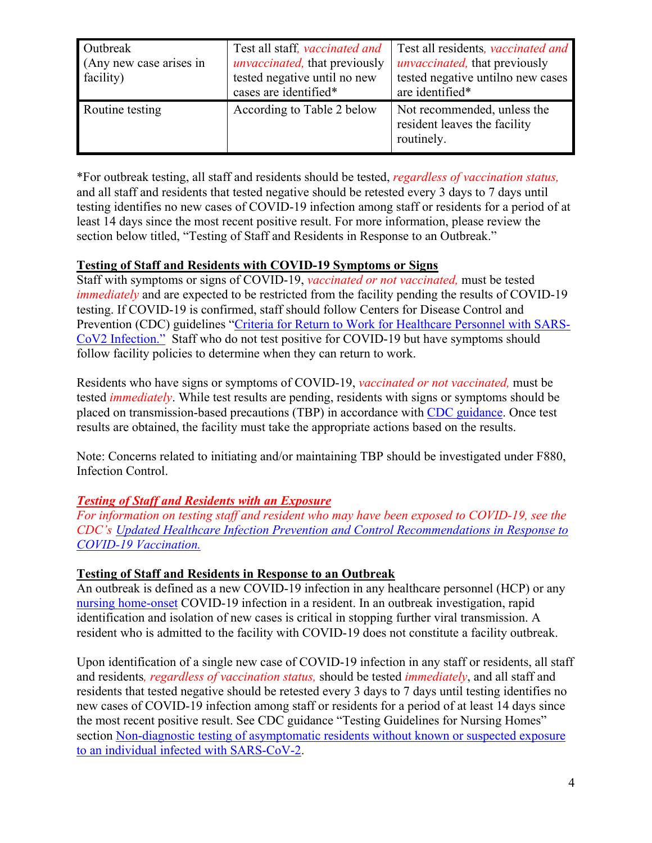| Outbreak<br>(Any new case arises in<br>facility) | Test all staff, vaccinated and<br><i>unvaccinated</i> , that previously<br>tested negative until no new<br>cases are identified* | Test all residents, vaccinated and<br><i>unvaccinated</i> , that previously<br>tested negative untilno new cases<br>are identified* |
|--------------------------------------------------|----------------------------------------------------------------------------------------------------------------------------------|-------------------------------------------------------------------------------------------------------------------------------------|
| Routine testing                                  | According to Table 2 below                                                                                                       | Not recommended, unless the<br>resident leaves the facility<br>routinely.                                                           |

 \*For outbreak testing, all staff and residents should be tested, *regardless of vaccination status,* and all staff and residents that tested negative should be retested every 3 days to 7 days until testing identifies no new cases of COVID-19 infection among staff or residents for a period of at least 14 days since the most recent positive result. For more information, please review the section below titled, "Testing of Staff and Residents in Response to an Outbreak."

#### **Testing of Staff and Residents with COVID-19 Symptoms or Signs**

Staff with symptoms or signs of COVID-19, *vaccinated or not vaccinated,* must be tested *immediately* and are expected to be restricted from the facility pending the results of COVID-19 testing. If COVID-19 is confirmed, staff should follow Centers for Disease Control and Prevention (CDC) guidelines "Criteria for Return to Work for Healthcare Personnel with SARS-CoV2 Infection." Staff who do not test positive for COVID-19 but have symptoms should follow facility policies to determine when they can return to work.

Residents who have signs or symptoms of COVID-19, *vaccinated or not vaccinated,* must be tested *immediately*. While test results are pending, residents with signs or symptoms should be placed on transmission-based precautions (TBP) in accordance with CDC guidance. Once test results are obtained, the facility must take the appropriate actions based on the results.

Note: Concerns related to initiating and/or maintaining TBP should be investigated under F880, Infection Control.

# *Testing of Staff and Residents with an Exposure*

*For information on testing staff and resident who may have been exposed to COVID-19, see the CDC's Updated Healthcare Infection Prevention and Control Recommendations in Response to COVID-19 Vaccination.* 

# **Testing of Staff and Residents in Response to an Outbreak**

An outbreak is defined as a new COVID-19 infection in any healthcare personnel (HCP) or any nursing home-onset COVID-19 infection in a resident. In an outbreak investigation, rapid identification and isolation of new cases is critical in stopping further viral transmission. A resident who is admitted to the facility with COVID-19 does not constitute a facility outbreak.

Upon identification of a single new case of COVID-19 infection in any staff or residents, all staff and residents*, regardless of vaccination status,* should be tested *immediately*, and all staff and residents that tested negative should be retested every 3 days to 7 days until testing identifies no new cases of COVID-19 infection among staff or residents for a period of at least 14 days since the most recent positive result. See CDC guidance "Testing Guidelines for Nursing Homes" section Non-diagnostic testing of asymptomatic residents without known or suspected exposure to an individual infected with SARS-CoV-2.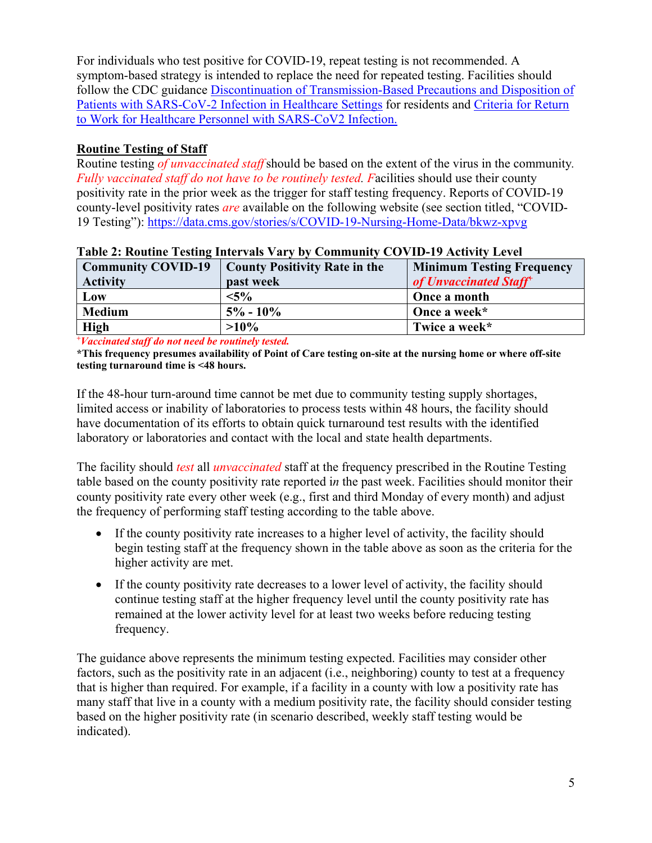For individuals who test positive for COVID-19, repeat testing is not recommended. A symptom-based strategy is intended to replace the need for repeated testing. Facilities should follow the CDC guidance Discontinuation of Transmission-Based Precautions and Disposition of Patients with SARS-CoV-2 Infection in Healthcare Settings for residents and Criteria for Return to Work for Healthcare Personnel with SARS-CoV2 Infection.

# **Routine Testing of Staff**

Routine testing *of unvaccinated staff* should be based on the extent of the virus in the community.<br>*Fully vaccinated staff do not have to be routinely tested. Facilities should use their county* positivity rate in the prior week as the trigger for staff testing frequency. Reports of COVID-19 county-level positivity rates *are* available on the following website (see section titled, "COVID-19 Testing"): https://data.cms.gov/stories/s/COVID-19-Nursing-Home-Data/bkwz-xpvg

| $\sim$ which is a contract of the contract of the state $\sim$ |                                      |                                    |  |  |  |
|----------------------------------------------------------------|--------------------------------------|------------------------------------|--|--|--|
| <b>Community COVID-19</b>                                      | <b>County Positivity Rate in the</b> | <b>Minimum Testing Frequency</b>   |  |  |  |
| <b>Activity</b>                                                | past week                            | of Unvaccinated Staff <sup>+</sup> |  |  |  |
| Low                                                            | $< 5\%$                              | Once a month                       |  |  |  |
| <b>Medium</b>                                                  | $5\% - 10\%$                         | Once a week*                       |  |  |  |
| <b>High</b>                                                    | $>10\%$                              | Twice a week*                      |  |  |  |

|  | Table 2: Routine Testing Intervals Vary by Community COVID-19 Activity Level |  |
|--|------------------------------------------------------------------------------|--|
|  |                                                                              |  |

 *+Vaccinated staff do not need be routinely tested.* 

**\*This frequency presumes availability of Point of Care testing on-site at the nursing home or where off-site testing turnaround time is <48 hours.** 

If the 48-hour turn-around time cannot be met due to community testing supply shortages, limited access or inability of laboratories to process tests within 48 hours, the facility should have documentation of its efforts to obtain quick turnaround test results with the identified laboratory or laboratories and contact with the local and state health departments.

The facility should *test* all *unvaccinated* staff at the frequency prescribed in the Routine Testing table based on the county positivity rate reported i*n* the past week. Facilities should monitor their county positivity rate every other week (e.g., first and third Monday of every month) and adjust the frequency of performing staff testing according to the table above.

- If the county positivity rate increases to a higher level of activity, the facility should begin testing staff at the frequency shown in the table above as soon as the criteria for the higher activity are met.
- If the county positivity rate decreases to a lower level of activity, the facility should continue testing staff at the higher frequency level until the county positivity rate has remained at the lower activity level for at least two weeks before reducing testing frequency.

The guidance above represents the minimum testing expected. Facilities may consider other factors, such as the positivity rate in an adjacent (i.e., neighboring) county to test at a frequency that is higher than required. For example, if a facility in a county with low a positivity rate has many staff that live in a county with a medium positivity rate, the facility should consider testing based on the higher positivity rate (in scenario described, weekly staff testing would be indicated).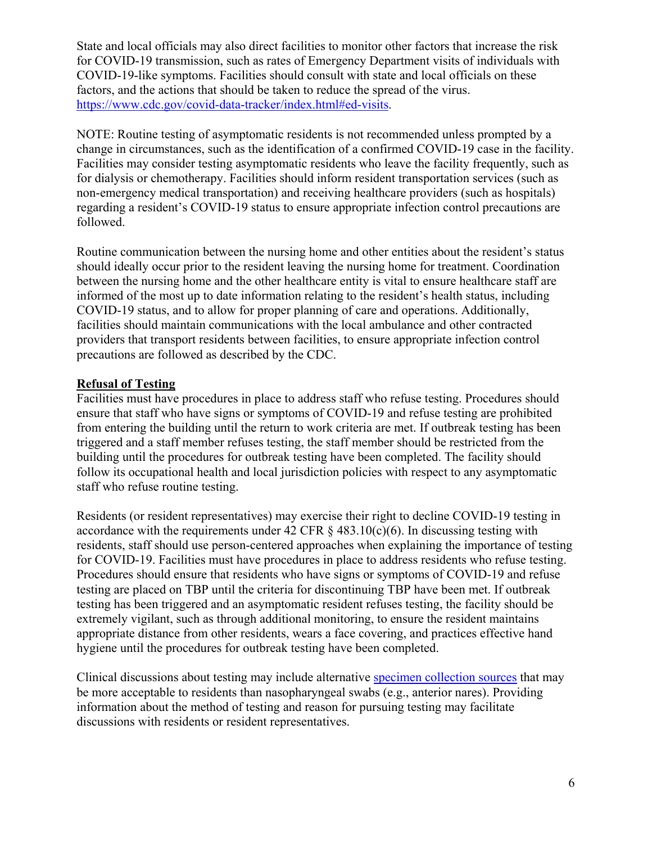State and local officials may also direct facilities to monitor other factors that increase the risk for COVID-19 transmission, such as rates of Emergency Department visits of individuals with COVID-19-like symptoms. Facilities should consult with state and local officials on these factors, and the actions that should be taken to reduce the spread of the virus. https://www.cdc.gov/covid-data-tracker/index.html#ed-visits.

NOTE: Routine testing of asymptomatic residents is not recommended unless prompted by a change in circumstances, such as the identification of a confirmed COVID-19 case in the facility. Facilities may consider testing asymptomatic residents who leave the facility frequently, such as for dialysis or chemotherapy. Facilities should inform resident transportation services (such as non-emergency medical transportation) and receiving healthcare providers (such as hospitals) regarding a resident's COVID-19 status to ensure appropriate infection control precautions are followed.

Routine communication between the nursing home and other entities about the resident's status should ideally occur prior to the resident leaving the nursing home for treatment. Coordination between the nursing home and the other healthcare entity is vital to ensure healthcare staff are informed of the most up to date information relating to the resident's health status, including COVID-19 status, and to allow for proper planning of care and operations. Additionally, facilities should maintain communications with the local ambulance and other contracted providers that transport residents between facilities, to ensure appropriate infection control precautions are followed as described by the CDC.

#### **Refusal of Testing**

Facilities must have procedures in place to address staff who refuse testing. Procedures should ensure that staff who have signs or symptoms of COVID-19 and refuse testing are prohibited from entering the building until the return to work criteria are met. If outbreak testing has been triggered and a staff member refuses testing, the staff member should be restricted from the building until the procedures for outbreak testing have been completed. The facility should follow its occupational health and local jurisdiction policies with respect to any asymptomatic staff who refuse routine testing.

Residents (or resident representatives) may exercise their right to decline COVID-19 testing in accordance with the requirements under 42 CFR  $\S$  483.10(c)(6). In discussing testing with residents, staff should use person-centered approaches when explaining the importance of testing for COVID-19. Facilities must have procedures in place to address residents who refuse testing. Procedures should ensure that residents who have signs or symptoms of COVID-19 and refuse testing are placed on TBP until the criteria for discontinuing TBP have been met. If outbreak testing has been triggered and an asymptomatic resident refuses testing, the facility should be extremely vigilant, such as through additional monitoring, to ensure the resident maintains appropriate distance from other residents, wears a face covering, and practices effective hand hygiene until the procedures for outbreak testing have been completed.

Clinical discussions about testing may include alternative specimen collection sources that may be more acceptable to residents than nasopharyngeal swabs (e.g., anterior nares). Providing information about the method of testing and reason for pursuing testing may facilitate discussions with residents or resident representatives.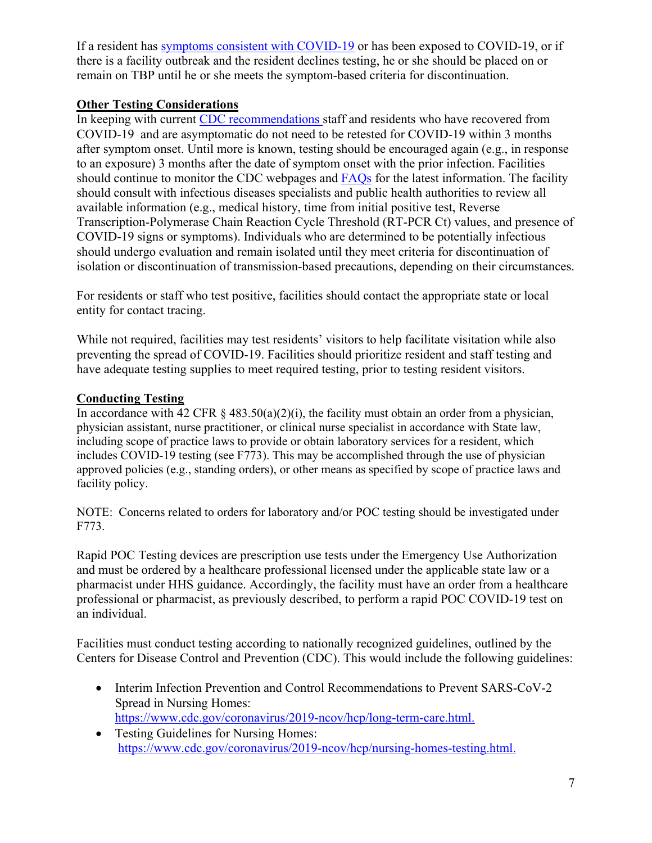If a resident has symptoms consistent with COVID-19 or has been exposed to COVID-19, or if there is a facility outbreak and the resident declines testing, he or she should be placed on or remain on TBP until he or she meets the symptom-based criteria for discontinuation.

#### **Other Testing Considerations**

In keeping with current CDC recommendations staff and residents who have recovered from COVID-19 and are asymptomatic do not need to be retested for COVID-19 within 3 months after symptom onset. Until more is known, testing should be encouraged again (e.g., in response to an exposure) 3 months after the date of symptom onset with the prior infection. Facilities should continue to monitor the CDC webpages and FAQs for the latest information. The facility should consult with infectious diseases specialists and public health authorities to review all available information (e.g., medical history, time from initial positive test, Reverse Transcription-Polymerase Chain Reaction Cycle Threshold (RT-PCR Ct) values, and presence of COVID-19 signs or symptoms). Individuals who are determined to be potentially infectious should undergo evaluation and remain isolated until they meet criteria for discontinuation of isolation or discontinuation of transmission-based precautions, depending on their circumstances.

For residents or staff who test positive, facilities should contact the appropriate state or local entity for contact tracing.

While not required, facilities may test residents' visitors to help facilitate visitation while also preventing the spread of COVID-19. Facilities should prioritize resident and staff testing and have adequate testing supplies to meet required testing, prior to testing resident visitors.

# **Conducting Testing**

In accordance with 42 CFR  $\S$  483.50(a)(2)(i), the facility must obtain an order from a physician, physician assistant, nurse practitioner, or clinical nurse specialist in accordance with State law, including scope of practice laws to provide or obtain laboratory services for a resident, which includes COVID-19 testing (see F773). This may be accomplished through the use of physician approved policies (e.g., standing orders), or other means as specified by scope of practice laws and facility policy.

NOTE: Concerns related to orders for laboratory and/or POC testing should be investigated under F773.

Rapid POC Testing devices are prescription use tests under the Emergency Use Authorization and must be ordered by a healthcare professional licensed under the applicable state law or a pharmacist under HHS guidance. Accordingly, the facility must have an order from a healthcare professional or pharmacist, as previously described, to perform a rapid POC COVID-19 test on an individual.

Facilities must conduct testing according to nationally recognized guidelines, outlined by the Centers for Disease Control and Prevention (CDC). This would include the following guidelines:

- https://www.cdc.gov/coronavirus/2019-ncov/hcp/long-term-care.html. • Interim Infection Prevention and Control Recommendations to Prevent SARS-CoV-2 Spread in Nursing Homes:
- https://www.cdc.gov/coronavirus/2019-ncov/hcp/nursing-homes-testing.html.<br>7 • Testing Guidelines for Nursing Homes: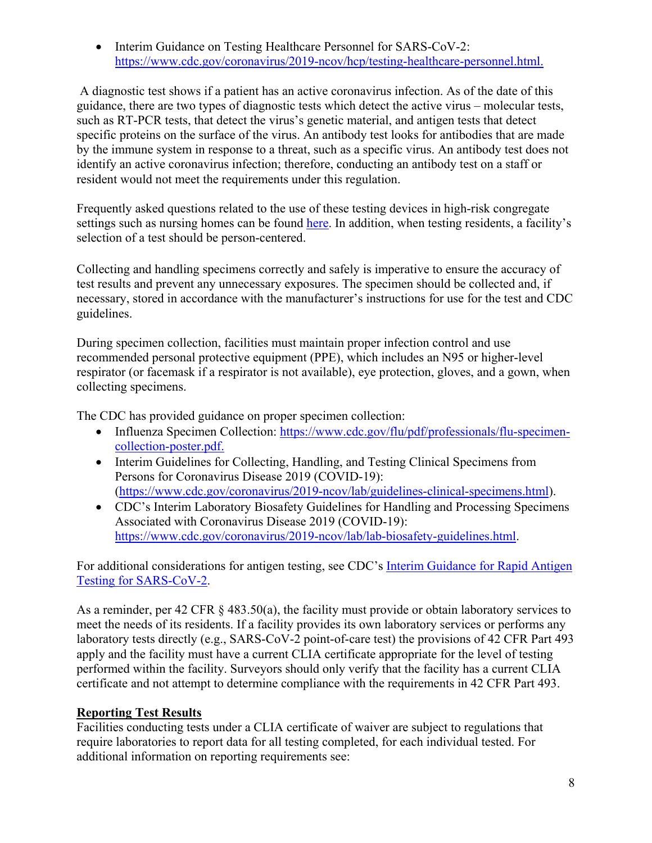https://www.cdc.gov/coronavirus/2019-ncov/hcp/testing-healthcare-personnel.html. • Interim Guidance on Testing Healthcare Personnel for SARS-CoV-2:

 A diagnostic test shows if a patient has an active coronavirus infection. As of the date of this guidance, there are two types of diagnostic tests which detect the active virus – molecular tests, such as RT-PCR tests, that detect the virus's genetic material, and antigen tests that detect specific proteins on the surface of the virus. An antibody test looks for antibodies that are made by the immune system in response to a threat, such as a specific virus. An antibody test does not identify an active coronavirus infection; therefore, conducting an antibody test on a staff or resident would not meet the requirements under this regulation.

Frequently asked questions related to the use of these testing devices in high-risk congregate settings such as nursing homes can be found here. In addition, when testing residents, a facility's selection of a test should be person-centered.

Collecting and handling specimens correctly and safely is imperative to ensure the accuracy of test results and prevent any unnecessary exposures. The specimen should be collected and, if necessary, stored in accordance with the manufacturer's instructions for use for the test and CDC guidelines.

During specimen collection, facilities must maintain proper infection control and use recommended personal protective equipment (PPE), which includes an N95 or higher-level respirator (or facemask if a respirator is not available), eye protection, gloves, and a gown, when collecting specimens.

The CDC has provided guidance on proper specimen collection:

- Influenza Specimen Collection: https://www.cdc.gov/flu/pdf/professionals/flu-specimencollection-poster.pdf.
- Interim Guidelines for Collecting, Handling, and Testing Clinical Specimens from Persons for Coronavirus Disease 2019 (COVID-19): (https://www.cdc.gov/coronavirus/2019-ncov/lab/guidelines-clinical-specimens.html).
- CDC's Interim Laboratory Biosafety Guidelines for Handling and Processing Specimens Associated with Coronavirus Disease 2019 (COVID-19): https://www.cdc.gov/coronavirus/2019-ncov/lab/lab-biosafety-guidelines.html.

For additional considerations for antigen testing, see CDC's Interim Guidance for Rapid Antigen Testing for SARS-CoV-2.

As a reminder, per 42 CFR § 483.50(a), the facility must provide or obtain laboratory services to meet the needs of its residents. If a facility provides its own laboratory services or performs any laboratory tests directly (e.g., SARS-CoV-2 point-of-care test) the provisions of 42 CFR Part 493 apply and the facility must have a current CLIA certificate appropriate for the level of testing performed within the facility. Surveyors should only verify that the facility has a current CLIA certificate and not attempt to determine compliance with the requirements in 42 CFR Part 493.

# **Reporting Test Results**

Facilities conducting tests under a CLIA certificate of waiver are subject to regulations that require laboratories to report data for all testing completed, for each individual tested. For additional information on reporting requirements see: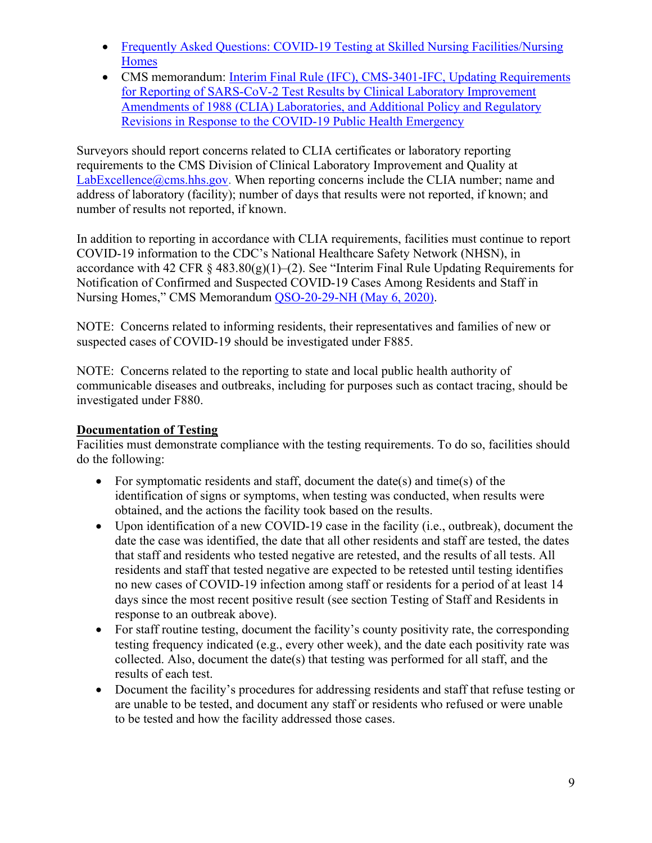- Frequently Asked Questions: COVID-19 Testing at Skilled Nursing Facilities/Nursing **Homes**
- CMS memorandum: Interim Final Rule (IFC), CMS-3401-IFC, Updating Requirements for Reporting of SARS-CoV-2 Test Results by Clinical Laboratory Improvement Amendments of 1988 (CLIA) Laboratories, and Additional Policy and Regulatory Revisions in Response to the COVID-19 Public Health Emergency

Surveyors should report concerns related to CLIA certificates or laboratory reporting requirements to the CMS Division of Clinical Laboratory Improvement and Quality at LabExcellence@cms.hhs.gov. When reporting concerns include the CLIA number; name and address of laboratory (facility); number of days that results were not reported, if known; and number of results not reported, if known.

In addition to reporting in accordance with CLIA requirements, facilities must continue to report COVID-19 information to the CDC's National Healthcare Safety Network (NHSN), in accordance with 42 CFR  $\S$  483.80(g)(1)–(2). See "Interim Final Rule Updating Requirements for Notification of Confirmed and Suspected COVID-19 Cases Among Residents and Staff in Nursing Homes," CMS Memorandum QSO-20-29-NH (May 6, 2020).

NOTE: Concerns related to informing residents, their representatives and families of new or suspected cases of COVID-19 should be investigated under F885.

NOTE: Concerns related to the reporting to state and local public health authority of communicable diseases and outbreaks, including for purposes such as contact tracing, should be investigated under F880.

# **Documentation of Testing**

Facilities must demonstrate compliance with the testing requirements. To do so, facilities should do the following:

- For symptomatic residents and staff, document the date(s) and time(s) of the identification of signs or symptoms, when testing was conducted, when results were obtained, and the actions the facility took based on the results.
- Upon identification of a new COVID-19 case in the facility (i.e., outbreak), document the date the case was identified, the date that all other residents and staff are tested, the dates that staff and residents who tested negative are retested, and the results of all tests. All residents and staff that tested negative are expected to be retested until testing identifies no new cases of COVID-19 infection among staff or residents for a period of at least 14 days since the most recent positive result (see section Testing of Staff and Residents in response to an outbreak above).
- For staff routine testing, document the facility's county positivity rate, the corresponding testing frequency indicated (e.g., every other week), and the date each positivity rate was collected. Also, document the date(s) that testing was performed for all staff, and the results of each test.
- Document the facility's procedures for addressing residents and staff that refuse testing or are unable to be tested, and document any staff or residents who refused or were unable to be tested and how the facility addressed those cases.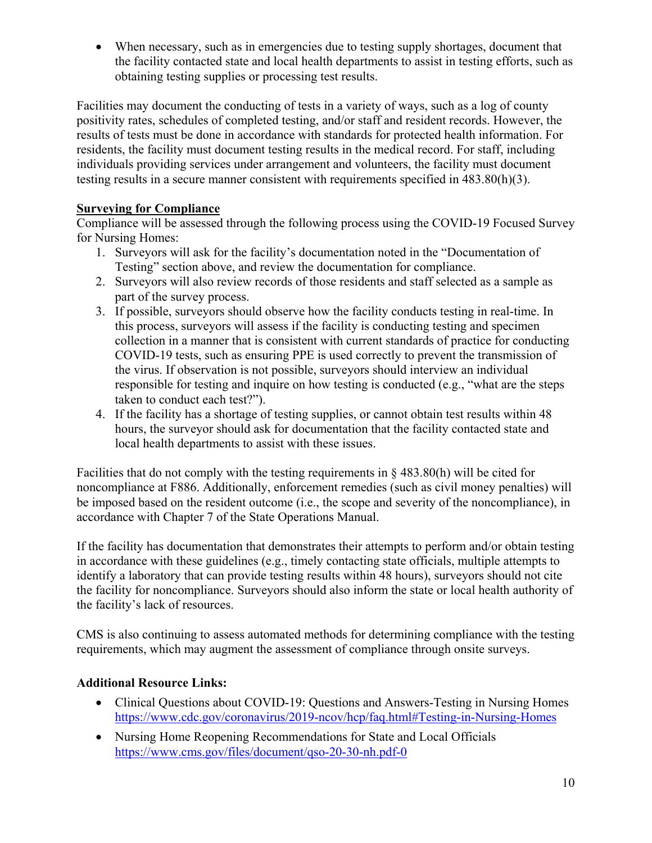When necessary, such as in emergencies due to testing supply shortages, document that the facility contacted state and local health departments to assist in testing efforts, such as obtaining testing supplies or processing test results.

Facilities may document the conducting of tests in a variety of ways, such as a log of county positivity rates, schedules of completed testing, and/or staff and resident records. However, the results of tests must be done in accordance with standards for protected health information. For residents, the facility must document testing results in the medical record. For staff, including individuals providing services under arrangement and volunteers, the facility must document testing results in a secure manner consistent with requirements specified in 483.80(h)(3).

# **Surveying for Compliance**

Compliance will be assessed through the following process using the COVID-19 Focused Survey for Nursing Homes:

- 1. Surveyors will ask for the facility's documentation noted in the "Documentation of Testing" section above, and review the documentation for compliance.
- 2. Surveyors will also review records of those residents and staff selected as a sample as part of the survey process.
- 3. If possible, surveyors should observe how the facility conducts testing in real-time. In this process, surveyors will assess if the facility is conducting testing and specimen collection in a manner that is consistent with current standards of practice for conducting COVID-19 tests, such as ensuring PPE is used correctly to prevent the transmission of the virus. If observation is not possible, surveyors should interview an individual responsible for testing and inquire on how testing is conducted (e.g., "what are the steps taken to conduct each test?").
- 4. If the facility has a shortage of testing supplies, or cannot obtain test results within 48 hours, the surveyor should ask for documentation that the facility contacted state and local health departments to assist with these issues.

Facilities that do not comply with the testing requirements in § 483.80(h) will be cited for noncompliance at F886. Additionally, enforcement remedies (such as civil money penalties) will be imposed based on the resident outcome (i.e., the scope and severity of the noncompliance), in accordance with Chapter 7 of the State Operations Manual.

If the facility has documentation that demonstrates their attempts to perform and/or obtain testing in accordance with these guidelines (e.g., timely contacting state officials, multiple attempts to identify a laboratory that can provide testing results within 48 hours), surveyors should not cite the facility for noncompliance. Surveyors should also inform the state or local health authority of the facility's lack of resources.

CMS is also continuing to assess automated methods for determining compliance with the testing requirements, which may augment the assessment of compliance through onsite surveys.

# **Additional Resource Links:**

- Clinical Questions about COVID-19: Questions and Answers-Testing in Nursing Homes https://www.cdc.gov/coronavirus/2019-ncov/hcp/faq.html#Testing-in-Nursing-Homes
- Nursing Home Reopening Recommendations for State and Local Officials https://www.cms.gov/files/document/qso-20-30-nh.pdf-0